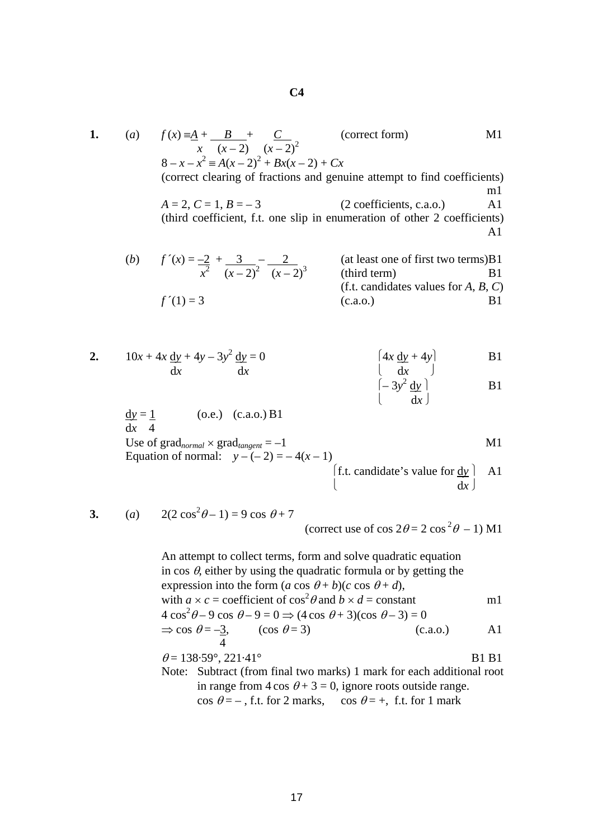1. (a) 
$$
f(x) = \frac{A}{2} + \frac{B}{(x-2)} + \frac{C}{(x-2)^2}
$$
 (correct form)  
\n $x(x-2) = 8 - x - x^2 = A(x-2)^2 + Bx(x-2) + Cx$   
\n(correct clearing of fractions and genuine attempt to find coefficients)  
\n $A = 2, C = 1, B = -3$  (2 coefficients, c.a.o.) A1  
\nthird coefficient, f.t. one slip in enumeration of other 2 coefficients)  
\nA1  
\n(b)  $f'(x) = \frac{-2}{x^2} + \frac{3}{(x-2)^2} - \frac{2}{(x-2)^3}$  (at least one of first two terms)  
\n(i) (third term)  
\nB1  
\n61. candidates values for A, B, C)  
\n $f'(1) = 3$  (c.a.o.) B1  
\n10x + 4x dy + 4y - 3y<sup>2</sup> dy = 0  
\n11  
\n12.  $10x + 4x \frac{dy}{dx} + 4y - 3y^2 \frac{dy}{dx} = 0$   $\begin{cases} 4x \frac{dy}{dx} + 4y \\ dx \end{cases}$  B1  
\n $\begin{cases} \frac{dy}{dx} = \frac{1}{4} \\ -3y^2 \frac{dy}{dx} \end{cases}$  (b.e.) (c.a.o.) B1  
\n12.  $\begin{cases} 4x \frac{dy}{dx} + 4y \end{cases}$  B1  
\n $\begin{cases} \frac{dy}{dx} = \frac{1}{4} \\ -3y^2 \frac{dy}{dx} \end{cases}$  (b.e.) (c.a.o.) B1  
\n51.  $\begin{cases} 4x \frac{dy}{dx} + 4y \end{cases}$  B1  
\n16.  $\begin{cases} \frac{dy}{dx} = \frac{1}{4} \\ -\frac{1}{4} \end{cases}$  (b.e.) (c.a.o.) B1  
\n61.  $\begin{cases} 4x \frac{dy}{dx} + 4y \end{cases}$  B1  
\n17.  $\begin{cases} 4x \frac{dy}{dx} + 4y \end{cases}$  B2  
\n18.  $\begin{cases} 4x \frac{dy}{dx} + 4y \end{cases}$  B3  
\n19.  $\begin{cases} 4x \frac{dy}{dx} + 4$ 

3. (a) 
$$
2(2 \cos^2 \theta - 1) = 9 \cos \theta + 7
$$

(correct use of cos  $2\theta = 2 \cos^2 \theta - 1$ ) M1

An attempt to collect terms, form and solve quadratic equation in cos  $\theta$ , either by using the quadratic formula or by getting the expression into the form  $(a \cos \theta + b)(c \cos \theta + d)$ , with  $a \times c$  = coefficient of  $\cos^2 \theta$  and  $b \times d$  = constant m1  $4\cos^2\theta - 9\cos\theta - 9 = 0 \Rightarrow (4\cos\theta + 3)(\cos\theta - 3) = 0$  $\Rightarrow$  cos  $\theta = -3$ , (cos  $\theta = 3$ ) (c.a.o.) A1 4  $\theta = 138.59^{\circ}, 221.41^{\circ}$  B1 B1 Note: Subtract (from final two marks) 1 mark for each additional root in range from  $4 \cos \theta + 3 = 0$ , ignore roots outside range.

cos  $\theta = -$ , f.t. for 2 marks, cos  $\theta = +$ , f.t. for 1 mark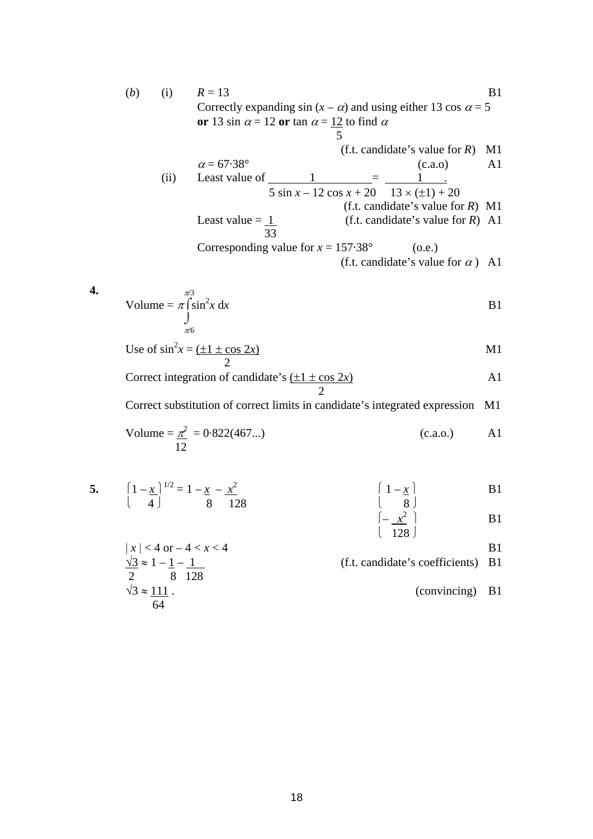(b) (i) 
$$
R = 13
$$
  
\nCorrectly expanding sin  $(x - \alpha)$  and using either 13 cos  $\alpha = 5$   
\nor 13 sin  $\alpha = 12$  or tan  $\alpha = \frac{12}{5}$  to find  $\alpha$   
\n  
\n(f.t. candidate's value for R) M1  
\n $\alpha = 67.38^\circ$  (c.a.) A1  
\n(d) Least value of  $\frac{1}{5 \sin x - 12 \cos x + 20}$   $\frac{1}{13 \times (\pm 1) + 20}$   
\n  
\n(d) (f.t. candidate's value for R) M1  
\nLeast value =  $\frac{1}{33}$  (f.t. candidate's value for R) A1  
\n  
\nCorresponding value for  $x = 157.38^\circ$  (o.e.)  
\n  
\n(f.t. candidate's value for  $\alpha$ ) A1  
\n  
\n4. Volume =  $\pi \int_0^{\pi/3} \sin^2 x \, dx$  B1

Use of 
$$
\sin^2 x = \frac{\pm 1 \pm \cos 2x}{2}
$$
 M1

<sup>π</sup>/6

Correct integration of candidate's  $(\pm 1 \pm \cos 2x)$  A1 2

Correct substitution of correct limits in candidate's integrated expression M1

Volume = 
$$
\frac{\pi^2}{12}
$$
 = 0.822(467...) (c.a.o.) A1

5. 
$$
\left(1 - \frac{x}{4}\right)^{1/2} = 1 - \frac{x}{8} - \frac{x^2}{128}
$$
 \n  
\n6.  $\left(1 - \frac{x}{8}\right)$  \n  
\n7.  $\left(1 - \frac{x}{8}\right)$  \n  
\n8.  $\left(1 - \frac{x}{8}\right)$  \n  
\n9.  $\left(1 - \frac{x}{8}\right)$  \n  
\n10.  $\left(1 - \frac{x}{8}\right)$  \n  
\n11.  $\left(1 - \frac{x}{8}\right)$  \n  
\n12.  $\left(1 - \frac{x}{8}\right)$  \n  
\n13.  $\left(1 - \frac{x}{8}\right)$  \n  
\n14.  $\left(1 - \frac{x}{8}\right)$  \n  
\n15.  $\left(1 - \frac{x}{8}\right)$  \n  
\n16.  $\left(1 - \frac{x}{8}\right)$  \n  
\n17.  $\left(1 - \frac{x}{8}\right)$  \n  
\n18.  $\left(1 - \frac{x}{8}\right)$  \n  
\n19.  $\left(1 - \frac{x}{8}\right)$  \n  
\n10.  $\left(1 - \frac{x}{8}\right)$  \n  
\n11.  $\left(1 - \frac{x}{8}\right)$  \n  
\n12.  $\left(1 - \frac{x}{8}\right)$  \n  
\n13.  $\left(1 - \frac{x}{8}\right)$  \n  
\n14.  $\left(1 - \frac{x}{8}\right)$  \n  
\n15.  $\left(1 - \frac{x}{8}\right)$  \n  
\n16.  $\left(1 - \frac{x}{8}\right)$  \n  
\n17.  $\left(1 - \frac{x}{8}\right)$  \n  
\n18.  $\left(1 - \frac{x}{8}\right)$  \n  
\n19.  $\left(1 - \frac{x}{8}\right)$  \n  
\n10.  $\left(1 - \frac{x}{8}\right)$  \n  
\n11.  $\left(1 - \frac{x}{8}\right)$  \n  
\n12.  $\left(1 - \frac{x}{8}\right)$  \n  
\n13.  $\left(1 - \frac{x}{8}\$ 

$$
|x| < 4 \text{ or } -4 < x < 4
$$
  
\n
$$
\frac{\sqrt{3}}{2} \approx 1 - \frac{1}{12} - \frac{1}{128}
$$
  
\n
$$
\sqrt{3} \approx \frac{111}{64}
$$
  
\n(*f.t.* candidate's coefficients) B1  
\n(convincing) B1

 $\left( \begin{array}{c} 128 \end{array} \right)$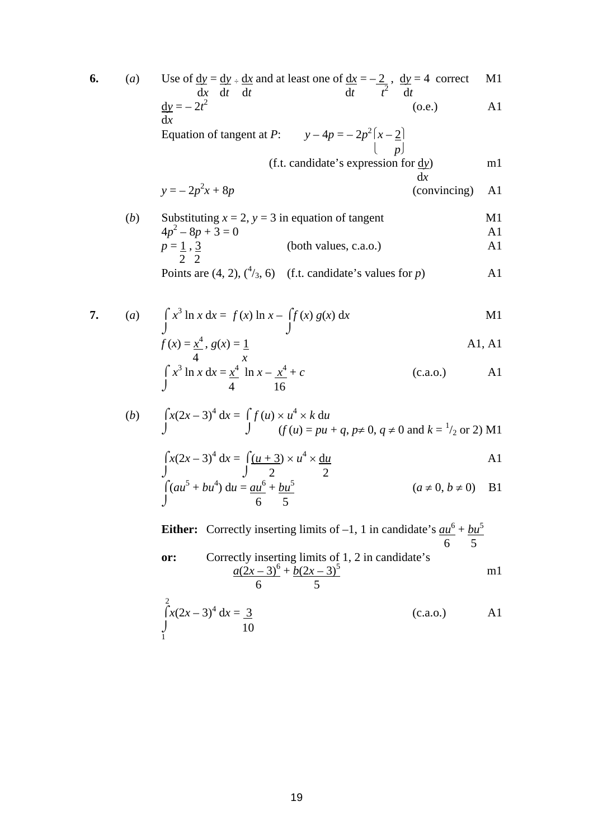**6.** (*a*) Use of <u>dy</u> = <u>dy</u> ÷ <u>dx</u></u> and at least one of <u>dx</u> = – <u>2</u>, <u>dy</u> = 4 correct M1  $\frac{d}{dt}$   $\frac{d}{dt}$   $\frac{d}{dt}$   $\frac{d}{dt}$   $\frac{d}{dt}$  $\frac{dy}{dx} = -2t^2$  (o.e.) A1 d*x* Equation of tangent at *P*:  $2(x-2)$  $\left[\begin{array}{cc} p\end{array}\right]$ (f.t. candidate's expression for d*y*) m1 d*x*  $y = -2p^2$ *(convincing)* A1 (*b*) Substituting  $x = 2$ ,  $y = 3$  in equation of tangent M1  $4p^2 - 8p + 3 = 0$  A1  $(both values, c.a.o.)$  A1 2 2 Points are  $(4, 2)$ ,  $({}^{4}/_{3}, 6)$  (f.t. candidate's values for *p*) A1 **7.** (*a*)  $\int x^3 \ln x \, dx = f(x) \ln x - \int f(x) g(x) \, dx$  M1  $\int$  $f(x) = x^4$ ,  $g(x) = 1$  A1, A1 4 *x*  $\int x^3 \ln x \, dx = \frac{x^4}{2} \ln x - \frac{x^4}{2} + c$  (c.a.o.) A1  $\frac{1}{4}$  16 (*b*)  $\int x(2x-3)^4 dx = \int f(u) \times u^4 \times k du$ J  $(f(u) = pu + q, p \ne 0, q \ne 0 \text{ and } k = \frac{1}{2}$  or 2) M1  $\int x(2x-3)^4 dx = \int (u+3) \times u^4 \times du$  A1  $J$   $2$  2  $\int (au^5 + bu^4) \, du = \frac{au^6 + bu^5}{2}$  $(a \neq 0, b \neq 0)$  B1  $\sqrt{6}$  6 5 **Either:** Correctly inserting limits of  $-1$ , 1 in candidate's  $au^6 + bu^5$ 

6 5 **or:** Correctly inserting limits of 1, 2 in candidate's  $a(2x-3)^6 + b(2x-3)^5$  $m1$ 6 5

$$
\int_{1}^{2} x(2x-3)^4 dx = \frac{3}{10}
$$
 (c.a.o.) A1